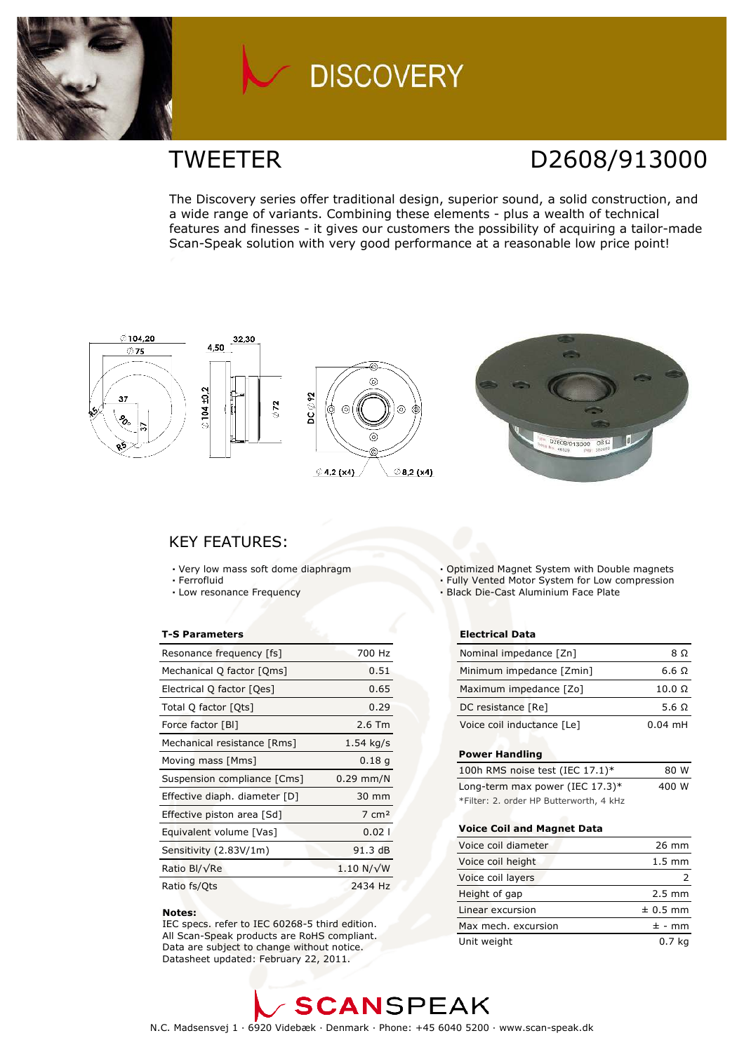

# **DISCOVERY**

## **TWEETER**

## D2608/913000

The Discovery series offer traditional design, superior sound, a solid construction, and a wide range of variants. Combining these elements - plus a wealth of technical features and finesses - it gives our customers the possibility of acquiring a tailor-made Scan-Speak solution with very good performance at a reasonable low price point!



### **KEY FEATURES:**

- Very low mass soft dome diaphragm
- · Ferrofluid
- Low resonance Frequency

#### **T-S Parameters**

| Resonance frequency [fs]      | 700 Hz            |
|-------------------------------|-------------------|
| Mechanical Q factor [Qms]     | 0.51              |
| Electrical Q factor [Qes]     | 0.65              |
| Total Q factor [Ots]          | 0.29              |
| Force factor [BI]             | $2.6$ Tm          |
| Mechanical resistance [Rms]   | $1.54$ kg/s       |
| Moving mass [Mms]             | 0.18q             |
| Suspension compliance [Cms]   | $0.29$ mm/N       |
| Effective diaph. diameter [D] | 30 mm             |
| Effective piston area [Sd]    | $7 \text{ cm}^2$  |
| Equivalent volume [Vas]       | 0.021             |
| Sensitivity (2.83V/1m)        | 91.3 dB           |
| Ratio Bl/√Re                  | $1.10 N/\sqrt{W}$ |
| Ratio fs/Ots                  | 2434 Hz           |

#### Notes:

IEC specs. refer to IEC 60268-5 third edition. All Scan-Speak products are RoHS compliant. Data are subject to change without notice. Datasheet updated: February 22, 2011.

- . Optimized Magnet System with Double magnets
- . Fully Vented Motor System for Low compression
- · Black Die-Cast Aluminium Face Plate

#### **Electrical Data**

| Nominal impedance [Zn]     | 8 O           |
|----------------------------|---------------|
| Minimum impedance [Zmin]   | 6.6 O         |
| Maximum impedance [Zo]     | $10.0 \Omega$ |
| DC resistance [Re]         | 5.6 Q         |
| Voice coil inductance [Le] | $0.04$ mH     |

#### **Power Handling**

| 100h RMS noise test (IEC $17.1$ )*      | 80 W  |
|-----------------------------------------|-------|
| Long-term max power (IEC $17.3$ )*      | 400 W |
| *Filter: 2. order HP Butterworth, 4 kHz |       |

#### **Voice Coil and Magnet Data**

| Voice coil diameter | $26 \text{ mm}$  |
|---------------------|------------------|
| Voice coil height   | $1.5 \text{ mm}$ |
| Voice coil layers   |                  |
| Height of gap       | $2.5 \text{ mm}$ |
| Linear excursion    | $± 0.5$ mm       |
| Max mech, excursion | $± - mm$         |
| Unit weight         | 0.7 <sub>k</sub> |